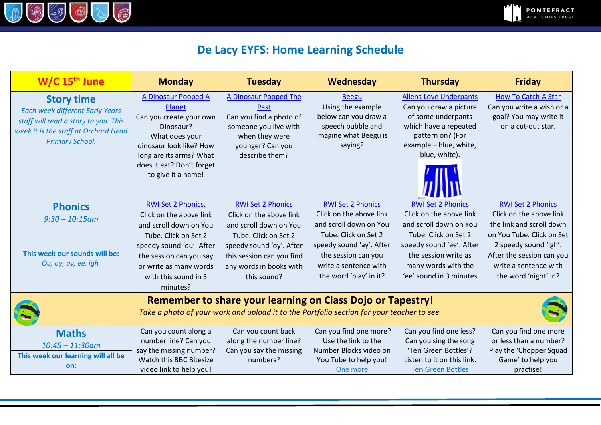

## **De Lacy EYFS: Home Learning Schedule**

| $W/C$ 15 <sup>th</sup> June                                                                                                                                           | <b>Monday</b>                                                                                                                                                                                                        | <b>Tuesday</b>                                                                                                                                                                                           | Wednesday                                                                                                                                                                                                   | <b>Thursday</b>                                                                                                                                                                                             | <b>Friday</b>                                                                                                                                                                                                       |  |  |  |
|-----------------------------------------------------------------------------------------------------------------------------------------------------------------------|----------------------------------------------------------------------------------------------------------------------------------------------------------------------------------------------------------------------|----------------------------------------------------------------------------------------------------------------------------------------------------------------------------------------------------------|-------------------------------------------------------------------------------------------------------------------------------------------------------------------------------------------------------------|-------------------------------------------------------------------------------------------------------------------------------------------------------------------------------------------------------------|---------------------------------------------------------------------------------------------------------------------------------------------------------------------------------------------------------------------|--|--|--|
| <b>Story time</b><br><b>Each week different Early Years</b><br>staff will read a story to you. This<br>week it is the staff at Orchard Head<br><b>Primary School.</b> | A Dinosaur Pooped A<br>Planet<br>Can you create your own<br>Dinosaur?<br>What does your<br>dinosaur look like? How<br>long are its arms? What<br>does it eat? Don't forget<br>to give it a name!                     | A Dinosaur Pooped The<br>Past<br>Can you find a photo of<br>someone you live with<br>when they were<br>younger? Can you<br>describe them?                                                                | <b>Beegu</b><br>Using the example<br>below can you draw a<br>speech bubble and<br>imagine what Beegu is<br>saying?                                                                                          | <b>Aliens Love Underpants</b><br>Can you draw a picture<br>of some underpants<br>which have a repeated<br>pattern on? (For<br>example - blue, white,<br>blue, white).                                       | <b>How To Catch A Star</b><br>Can you write a wish or a<br>goal? You may write it<br>on a cut-out star.                                                                                                             |  |  |  |
| <b>Phonics</b><br>$9:30 - 10:15$ am<br>This week our sounds will be:<br>Ou, oy, ay, ee, igh.                                                                          | RWI Set 2 Phonics.<br>Click on the above link<br>and scroll down on You<br>Tube. Click on Set 2<br>speedy sound 'ou'. After<br>the session can you say<br>or write as many words<br>with this sound in 3<br>minutes? | <b>RWI Set 2 Phonics</b><br>Click on the above link<br>and scroll down on You<br>Tube. Click on Set 2<br>speedy sound 'oy'. After<br>this session can you find<br>any words in books with<br>this sound? | <b>RWI Set 2 Phonics</b><br>Click on the above link<br>and scroll down on You<br>Tube. Click on Set 2<br>speedy sound 'ay'. After<br>the session can you<br>write a sentence with<br>the word 'play' in it? | <b>RWI Set 2 Phonics</b><br>Click on the above link<br>and scroll down on You<br>Tube. Click on Set 2<br>speedy sound 'ee'. After<br>the session write as<br>many words with the<br>'ee' sound in 3 minutes | <b>RWI Set 2 Phonics</b><br>Click on the above link<br>the link and scroll down<br>on You Tube. Click on Set<br>2 speedy sound 'igh'.<br>After the session can you<br>write a sentence with<br>the word 'night' in? |  |  |  |
| <b>Remember to share your learning on Class Dojo or Tapestry!</b><br>Take a photo of your work and upload it to the Portfolio section for your teacher to see.        |                                                                                                                                                                                                                      |                                                                                                                                                                                                          |                                                                                                                                                                                                             |                                                                                                                                                                                                             |                                                                                                                                                                                                                     |  |  |  |
| <b>Maths</b><br>$10:45 - 11:30$ am<br>This week our learning will all be<br>on:                                                                                       | Can you count along a<br>number line? Can you<br>say the missing number?<br>Watch this BBC Bitesize<br>video link to help you!                                                                                       | Can you count back<br>along the number line?<br>Can you say the missing<br>numbers?                                                                                                                      | Can you find one more?<br>Use the link to the<br>Number Blocks video on<br>You Tube to help you!<br>One more                                                                                                | Can you find one less?<br>Can you sing the song<br>'Ten Green Bottles'?<br>Listen to it on this link.<br><b>Ten Green Bottles</b>                                                                           | Can you find one more<br>or less than a number?<br>Play the 'Chopper Squad<br>Game' to help you<br>practise!                                                                                                        |  |  |  |